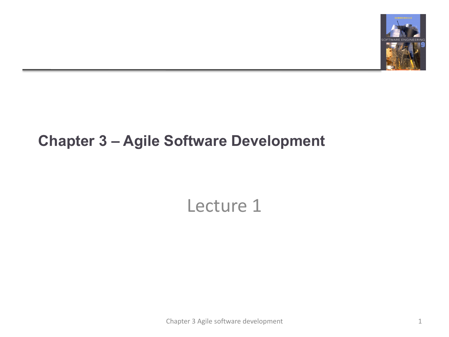

### **Chapter 3 – Agile Software Development**

# Lecture 1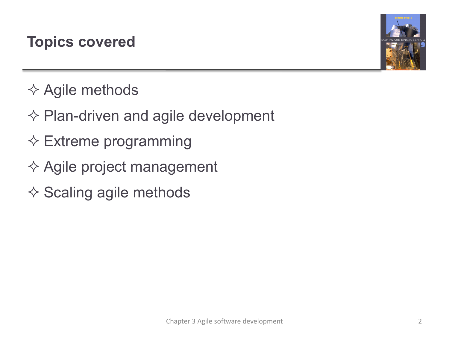### **Topics covered**



- $\diamond$  Agile methods
- $\diamond$  Plan-driven and agile development
- $\diamond$  Extreme programming
- $\diamondsuit$  Agile project management
- $\diamond$  Scaling agile methods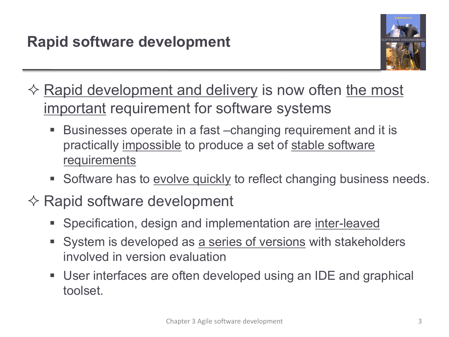

- $\Diamond$  Rapid development and delivery is now often the most important requirement for software systems
	- Businesses operate in a fast –changing requirement and it is practically impossible to produce a set of stable software requirements
	- Software has to evolve quickly to reflect changing business needs.
- $\diamondsuit$  Rapid software development
	- § Specification, design and implementation are inter-leaved
	- System is developed as a series of versions with stakeholders involved in version evaluation
	- User interfaces are often developed using an IDE and graphical toolset.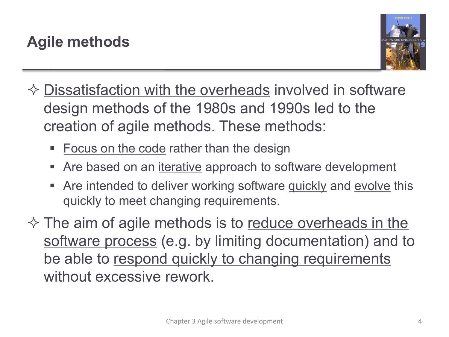

- $\Diamond$  Dissatisfaction with the overheads involved in software design methods of the 1980s and 1990s led to the creation of agile methods. These methods:
	- Focus on the code rather than the design
	- Are based on an *iterative* approach to software development
	- Are intended to deliver working software quickly and evolve this quickly to meet changing requirements.
- $\diamond$  The aim of agile methods is to reduce overheads in the software process (e.g. by limiting documentation) and to be able to respond quickly to changing requirements without excessive rework.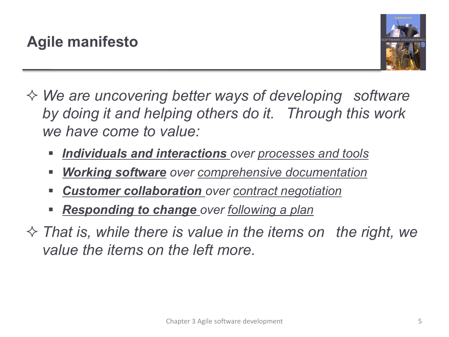

- ² *We are uncovering better ways of developing software by doing it and helping others do it. Through this work we have come to value:*
	- § *Individuals and interactions over processes and tools*
	- § *Working software over comprehensive documentation*
	- § *Customer collaboration over contract negotiation*
	- § *Responding to change over following a plan*
- $\Diamond$  That is, while there is value in the items on the right, we *value the items on the left more.*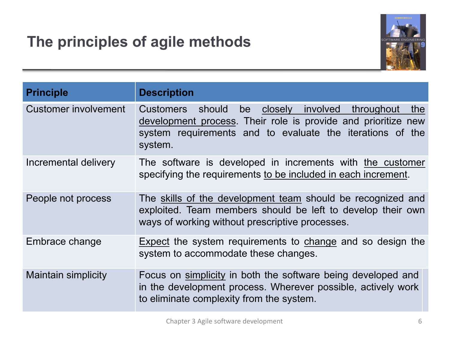# **The principles of agile methods**



| <b>Principle</b>            | <b>Description</b>                                                                                                                                                                                                 |
|-----------------------------|--------------------------------------------------------------------------------------------------------------------------------------------------------------------------------------------------------------------|
| <b>Customer involvement</b> | involved throughout<br>should<br>be<br>closely<br>the<br><b>Customers</b><br>development process. Their role is provide and prioritize new<br>system requirements and to evaluate the iterations of the<br>system. |
| Incremental delivery        | The software is developed in increments with the customer<br>specifying the requirements to be included in each increment.                                                                                         |
| People not process          | The skills of the development team should be recognized and<br>exploited. Team members should be left to develop their own<br>ways of working without prescriptive processes.                                      |
| Embrace change              | Expect the system requirements to change and so design the<br>system to accommodate these changes.                                                                                                                 |
| <b>Maintain simplicity</b>  | Focus on simplicity in both the software being developed and<br>in the development process. Wherever possible, actively work<br>to eliminate complexity from the system.                                           |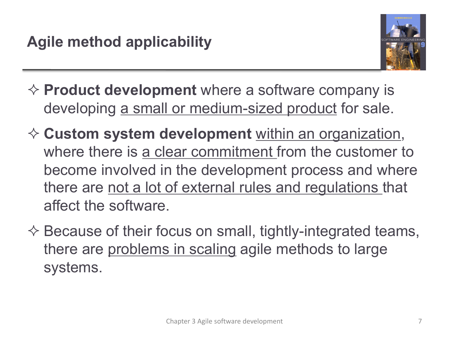

- **→ Product development** where a software company is developing a small or medium-sized product for sale.
- ² **Custom system development** within an organization, where there is a clear commitment from the customer to become involved in the development process and where there are not a lot of external rules and regulations that affect the software.
- $\diamondsuit$  Because of their focus on small, tightly-integrated teams, there are problems in scaling agile methods to large systems.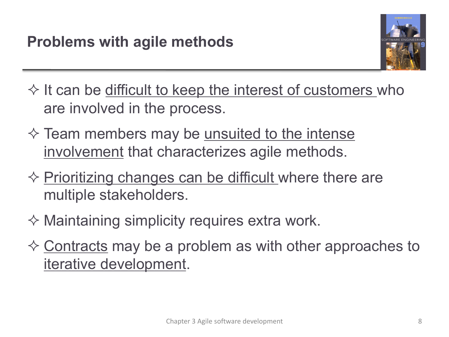

 $\Diamond$  It can be difficult to keep the interest of customers who are involved in the process.

- $\Diamond$  Team members may be <u>unsuited to the intense</u> involvement that characterizes agile methods.
- $\Diamond$  Prioritizing changes can be difficult where there are multiple stakeholders.
- $\diamond$  Maintaining simplicity requires extra work.
- $\Diamond$  Contracts may be a problem as with other approaches to iterative development.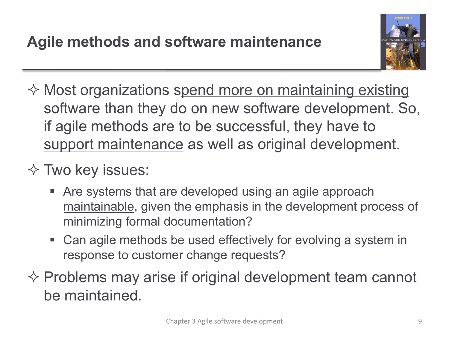

- $\diamond$  Most organizations spend more on maintaining existing software than they do on new software development. So, if agile methods are to be successful, they have to support maintenance as well as original development.
- $\diamond$  Two key issues:
	- Are systems that are developed using an agile approach maintainable, given the emphasis in the development process of minimizing formal documentation?
	- Can agile methods be used effectively for evolving a system in response to customer change requests?
- $\Diamond$  Problems may arise if original development team cannot be maintained.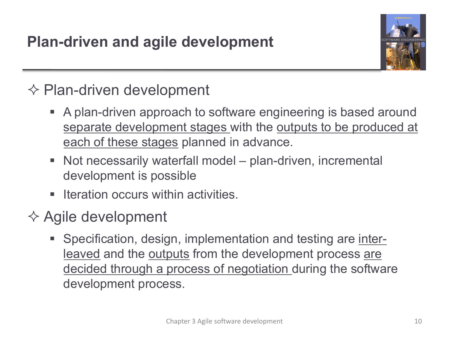

# $\diamondsuit$  Plan-driven development

- A plan-driven approach to software engineering is based around separate development stages with the outputs to be produced at each of these stages planned in advance.
- Not necessarily waterfall model plan-driven, incremental development is possible
- Iteration occurs within activities.
- $\diamondsuit$  Agile development
	- Specification, design, implementation and testing are interleaved and the outputs from the development process are decided through a process of negotiation during the software development process.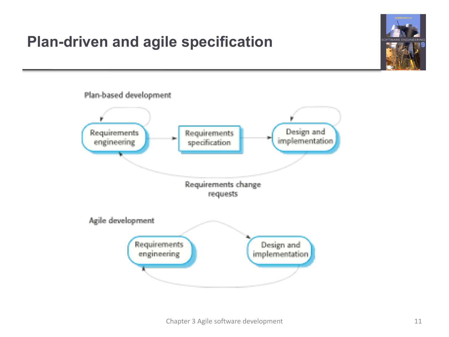# **Plan-driven and agile specification**



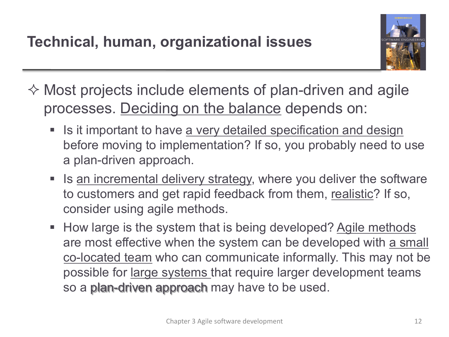

 $\Diamond$  Most projects include elements of plan-driven and agile processes. Deciding on the balance depends on:

- **Example 15 it important to have a very detailed specification and design** before moving to implementation? If so, you probably need to use a plan-driven approach.
- Is an incremental delivery strategy, where you deliver the software to customers and get rapid feedback from them, realistic? If so, consider using agile methods.
- How large is the system that is being developed? Agile methods are most effective when the system can be developed with a small co-located team who can communicate informally. This may not be possible for large systems that require larger development teams so a plan-driven approach may have to be used.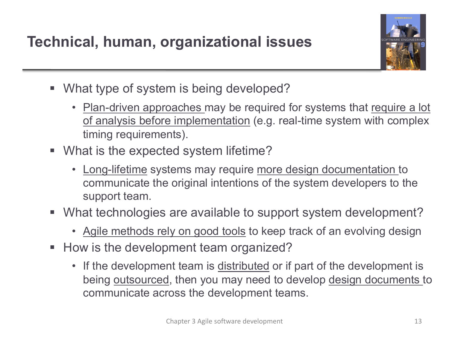

- What type of system is being developed?
	- Plan-driven approaches may be required for systems that require a lot of analysis before implementation (e.g. real-time system with complex timing requirements).
- What is the expected system lifetime?
	- Long-lifetime systems may require more design documentation to communicate the original intentions of the system developers to the support team.
- What technologies are available to support system development?
	- Agile methods rely on good tools to keep track of an evolving design
- How is the development team organized?
	- If the development team is distributed or if part of the development is being outsourced, then you may need to develop design documents to communicate across the development teams.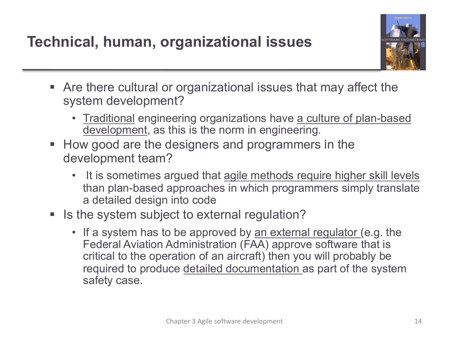

- Are there cultural or organizational issues that may affect the system development?
	- Traditional engineering organizations have a culture of plan-based development, as this is the norm in engineering.
- How good are the designers and programmers in the development team?
	- It is sometimes argued that agile methods require higher skill levels than plan-based approaches in which programmers simply translate a detailed design into code
- Is the system subject to external regulation?
	- If a system has to be approved by <u>an external regulator</u> (e.g. the Federal Aviation Administration (FAA) approve software that is critical to the operation of an aircraft) then you will probably be required to produce detailed documentation as part of the system safety case.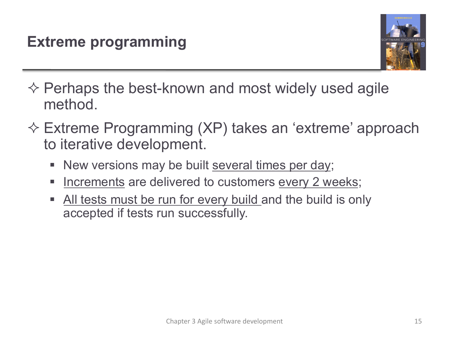

- $\diamondsuit$  Perhaps the best-known and most widely used agile method.
- $\Diamond$  Extreme Programming (XP) takes an 'extreme' approach to iterative development.
	- New versions may be built several times per day;
	- **EXA** Increments are delivered to customers every 2 weeks;
	- All tests must be run for every build and the build is only accepted if tests run successfully.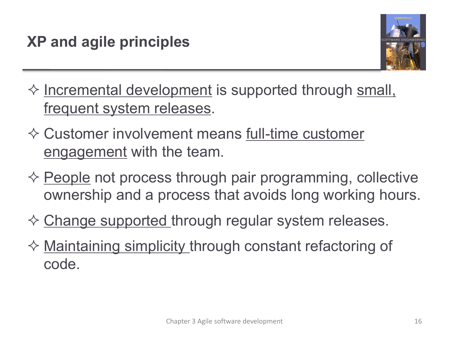

- $\diamond$  Incremental development is supported through small, frequent system releases.
- $\Diamond$  Customer involvement means full-time customer engagement with the team.
- $\diamond$  People not process through pair programming, collective ownership and a process that avoids long working hours.
- $\diamondsuit$  Change supported through regular system releases.
- $\diamond$  Maintaining simplicity through constant refactoring of code.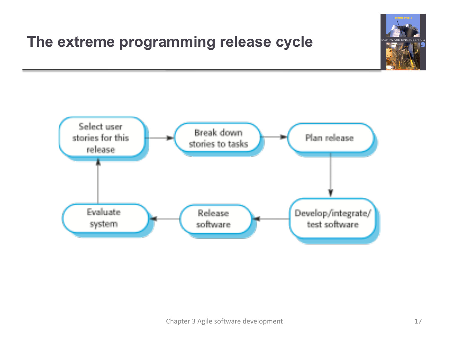### **The extreme programming release cycle**



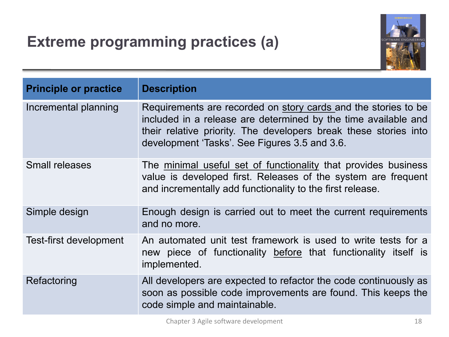## **Extreme programming practices (a)**



| <b>Principle or practice</b> | <b>Description</b>                                                                                                                                                                                                                                    |
|------------------------------|-------------------------------------------------------------------------------------------------------------------------------------------------------------------------------------------------------------------------------------------------------|
| Incremental planning         | Requirements are recorded on story cards and the stories to be<br>included in a release are determined by the time available and<br>their relative priority. The developers break these stories into<br>development 'Tasks'. See Figures 3.5 and 3.6. |
| <b>Small releases</b>        | The minimal useful set of functionality that provides business<br>value is developed first. Releases of the system are frequent<br>and incrementally add functionality to the first release.                                                          |
| Simple design                | Enough design is carried out to meet the current requirements<br>and no more.                                                                                                                                                                         |
| Test-first development       | An automated unit test framework is used to write tests for a<br>new piece of functionality before that functionality itself is<br>implemented.                                                                                                       |
| Refactoring                  | All developers are expected to refactor the code continuously as<br>soon as possible code improvements are found. This keeps the<br>code simple and maintainable.                                                                                     |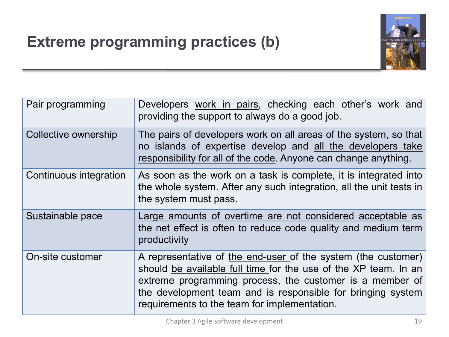# **Extreme programming practices (b)**



| Pair programming       | Developers work in pairs, checking each other's work and<br>providing the support to always do a good job.                                                                                                                                                                                                  |
|------------------------|-------------------------------------------------------------------------------------------------------------------------------------------------------------------------------------------------------------------------------------------------------------------------------------------------------------|
| Collective ownership   | The pairs of developers work on all areas of the system, so that<br>no islands of expertise develop and all the developers take<br>responsibility for all of the code. Anyone can change anything.                                                                                                          |
| Continuous integration | As soon as the work on a task is complete, it is integrated into<br>the whole system. After any such integration, all the unit tests in<br>the system must pass.                                                                                                                                            |
| Sustainable pace       | Large amounts of overtime are not considered acceptable as<br>the net effect is often to reduce code quality and medium term<br>productivity                                                                                                                                                                |
| On-site customer       | A representative of the end-user of the system (the customer)<br>should be available full time for the use of the XP team. In an<br>extreme programming process, the customer is a member of<br>the development team and is responsible for bringing system<br>requirements to the team for implementation. |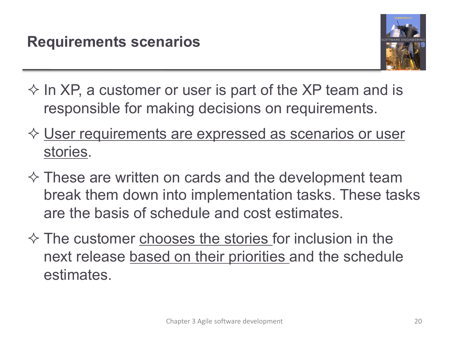

- $\Diamond$  In XP, a customer or user is part of the XP team and is responsible for making decisions on requirements.
- ☆ User requirements are expressed as scenarios or user stories.
- $\diamond$  These are written on cards and the development team break them down into implementation tasks. These tasks are the basis of schedule and cost estimates.
- $\Diamond$  The customer chooses the stories for inclusion in the next release based on their priorities and the schedule estimates.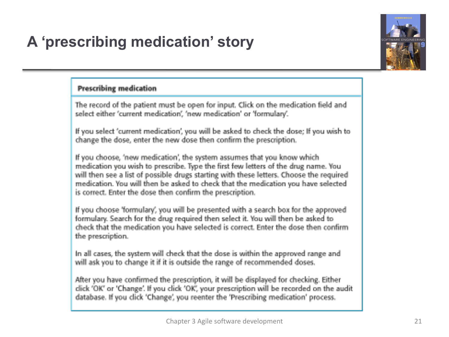# **A 'prescribing medication' story**



#### **Prescribing medication**

The record of the patient must be open for input. Click on the medication field and select either 'current medication', 'new medication' or 'formulary'.

If you select 'current medication', you will be asked to check the dose; If you wish to change the dose, enter the new dose then confirm the prescription.

If you choose, 'new medication', the system assumes that you know which medication you wish to prescribe. Type the first few letters of the drug name. You will then see a list of possible drugs starting with these letters. Choose the required medication. You will then be asked to check that the medication you have selected is correct. Enter the dose then confirm the prescription.

If you choose 'formulary', you will be presented with a search box for the approved formulary. Search for the drug required then select it. You will then be asked to check that the medication you have selected is correct. Enter the dose then confirm the prescription.

In all cases, the system will check that the dose is within the approved range and will ask you to change it if it is outside the range of recommended doses.

After you have confirmed the prescription, it will be displayed for checking. Either click 'OK' or 'Change'. If you click 'OK', your prescription will be recorded on the audit database. If you click 'Change', you reenter the 'Prescribing medication' process.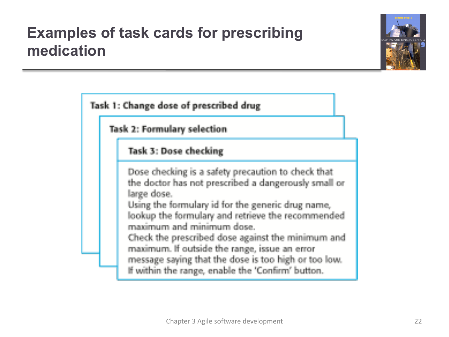### **Examples of task cards for prescribing medication**



Task 1: Change dose of prescribed drug

**Task 2: Formulary selection** 

### Task 3: Dose checking

Dose checking is a safety precaution to check that the doctor has not prescribed a dangerously small or large dose.

Using the formulary id for the generic drug name, lookup the formulary and retrieve the recommended maximum and minimum dose.

Check the prescribed dose against the minimum and maximum. If outside the range, issue an error message saying that the dose is too high or too low. If within the range, enable the 'Confirm' button.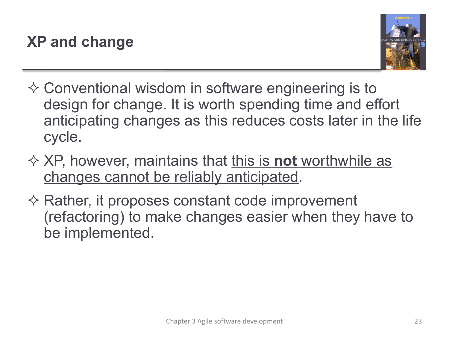

- $\Diamond$  Conventional wisdom in software engineering is to design for change. It is worth spending time and effort anticipating changes as this reduces costs later in the life cycle.
- **☆ XP, however, maintains that this is not worthwhile as** changes cannot be reliably anticipated.
- $\diamondsuit$  Rather, it proposes constant code improvement (refactoring) to make changes easier when they have to be implemented.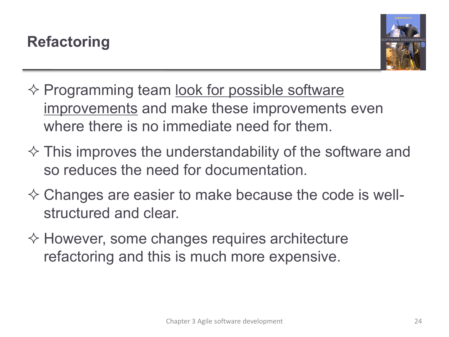

- $\diamondsuit$  Programming team <u>look for possible software</u> improvements and make these improvements even where there is no immediate need for them.
- $\Diamond$  This improves the understandability of the software and so reduces the need for documentation.
- $\diamond$  Changes are easier to make because the code is wellstructured and clear.
- $\diamondsuit$  However, some changes requires architecture refactoring and this is much more expensive.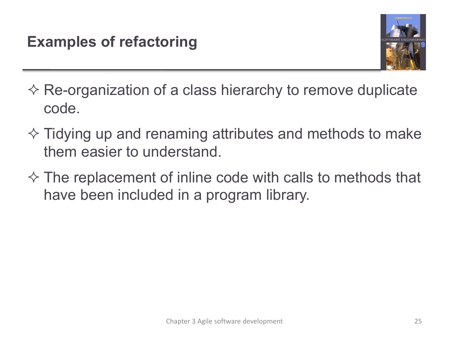

- $\diamondsuit$  Re-organization of a class hierarchy to remove duplicate code.
- $\Diamond$  Tidying up and renaming attributes and methods to make them easier to understand.
- $\diamond$  The replacement of inline code with calls to methods that have been included in a program library.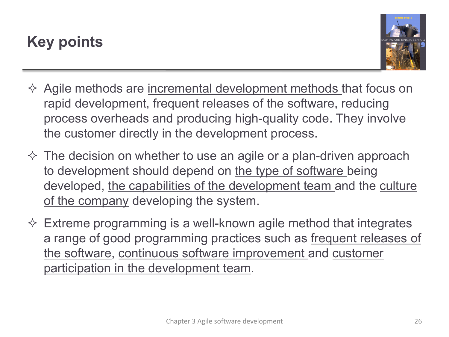## **Key points**



- $\Diamond$  Agile methods are incremental development methods that focus on rapid development, frequent releases of the software, reducing process overheads and producing high-quality code. They involve the customer directly in the development process.
- $\diamond$  The decision on whether to use an agile or a plan-driven approach to development should depend on the type of software being developed, the capabilities of the development team and the culture of the company developing the system.
- $\diamond$  Extreme programming is a well-known agile method that integrates a range of good programming practices such as frequent releases of the software, continuous software improvement and customer participation in the development team.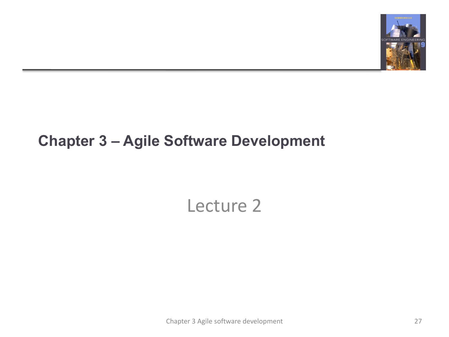

### **Chapter 3 – Agile Software Development**

# Lecture 2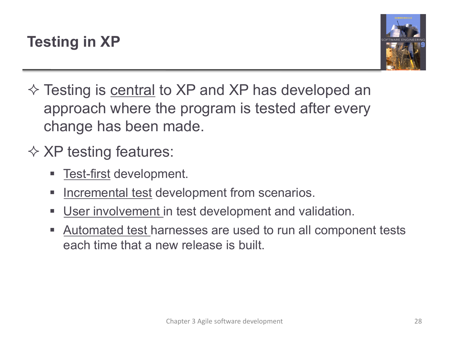

 $\diamond$  Testing is central to XP and XP has developed an approach where the program is tested after every change has been made.

# $\Diamond$  XP testing features:

- Test-first development.
- **EXECTE:** Incremental test development from scenarios.
- **User involvement in test development and validation.**
- Automated test harnesses are used to run all component tests each time that a new release is built.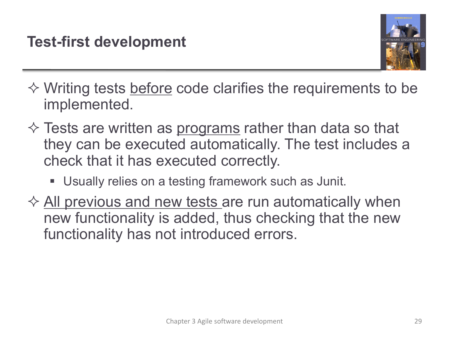

- $\diamond$  Writing tests before code clarifies the requirements to be implemented.
- $\diamondsuit$  Tests are written as programs rather than data so that they can be executed automatically. The test includes a check that it has executed correctly.
	- Usually relies on a testing framework such as Junit.
- $\Diamond$  All previous and new tests are run automatically when new functionality is added, thus checking that the new functionality has not introduced errors.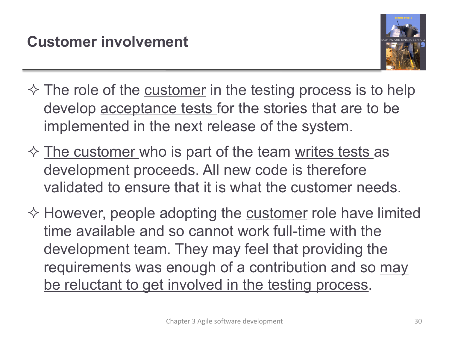

- $\diamond$  The role of the customer in the testing process is to help develop acceptance tests for the stories that are to be implemented in the next release of the system.
- $\Diamond$  The customer who is part of the team writes tests as development proceeds. All new code is therefore validated to ensure that it is what the customer needs.
- $\diamondsuit$  However, people adopting the customer role have limited time available and so cannot work full-time with the development team. They may feel that providing the requirements was enough of a contribution and so may be reluctant to get involved in the testing process.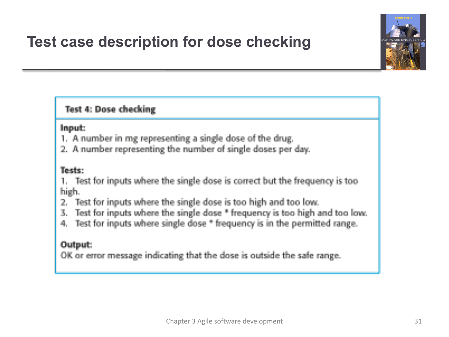## **Test case description for dose checking**



### **Test 4: Dose checking**

### Input:

- 1. A number in mg representing a single dose of the drug.
- 2. A number representing the number of single doses per day.

#### Tests:

- 1. Test for inputs where the single dose is correct but the frequency is too high.
- Test for inputs where the single dose is too high and too low. 2.
- 3. Test for inputs where the single dose \* frequency is too high and too low.
- 4. Test for inputs where single dose \* frequency is in the permitted range.

### Output:

OK or error message indicating that the dose is outside the safe range.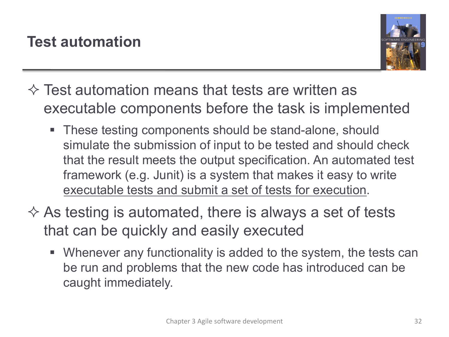

- $\Diamond$  Test automation means that tests are written as executable components before the task is implemented
	- § These testing components should be stand-alone, should simulate the submission of input to be tested and should check that the result meets the output specification. An automated test framework (e.g. Junit) is a system that makes it easy to write executable tests and submit a set of tests for execution.
- $\Diamond$  As testing is automated, there is always a set of tests that can be quickly and easily executed
	- § Whenever any functionality is added to the system, the tests can be run and problems that the new code has introduced can be caught immediately.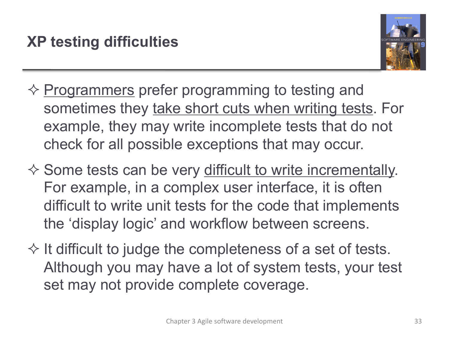

- $\diamond$  Programmers prefer programming to testing and sometimes they take short cuts when writing tests. For example, they may write incomplete tests that do not check for all possible exceptions that may occur.
- $\diamond$  Some tests can be very difficult to write incrementally. For example, in a complex user interface, it is often difficult to write unit tests for the code that implements the 'display logic' and workflow between screens.
- $\Diamond$  It difficult to judge the completeness of a set of tests. Although you may have a lot of system tests, your test set may not provide complete coverage.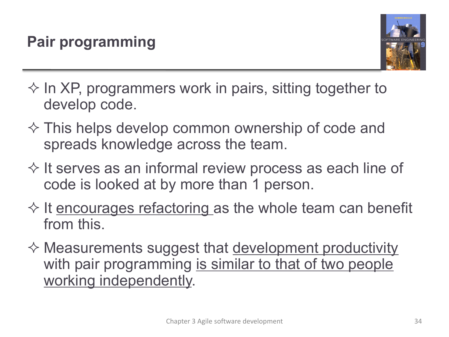

- $\Diamond$  In XP, programmers work in pairs, sitting together to develop code.
- $\Diamond$  This helps develop common ownership of code and spreads knowledge across the team.
- $\diamondsuit$  It serves as an informal review process as each line of code is looked at by more than 1 person.
- $\Diamond$  It encourages refactoring as the whole team can benefit from this.
- $\Diamond$  Measurements suggest that <u>development productivity</u> with pair programming is similar to that of two people working independently.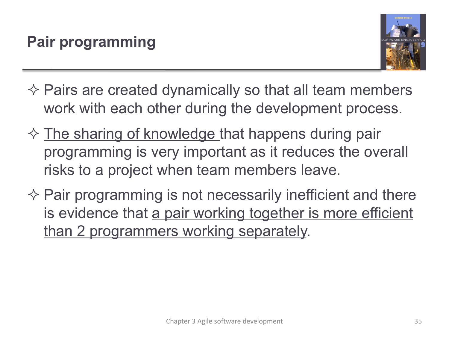

- $\diamondsuit$  Pairs are created dynamically so that all team members work with each other during the development process.
- $\Diamond$  The sharing of knowledge that happens during pair programming is very important as it reduces the overall risks to a project when team members leave.
- $\Diamond$  Pair programming is not necessarily inefficient and there is evidence that a pair working together is more efficient than 2 programmers working separately.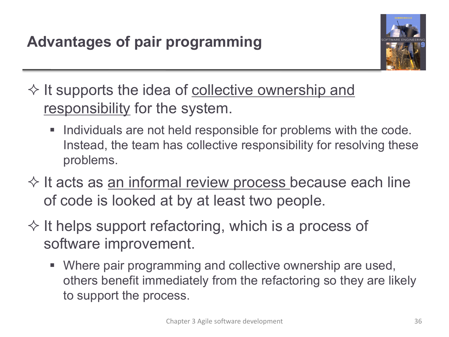

 $\diamond$  It supports the idea of collective ownership and responsibility for the system.

- Individuals are not held responsible for problems with the code. Instead, the team has collective responsibility for resolving these problems.
- $\diamondsuit$  It acts as <u>an informal review process</u> because each line of code is looked at by at least two people.
- $\Diamond$  It helps support refactoring, which is a process of software improvement.
	- Where pair programming and collective ownership are used, others benefit immediately from the refactoring so they are likely to support the process.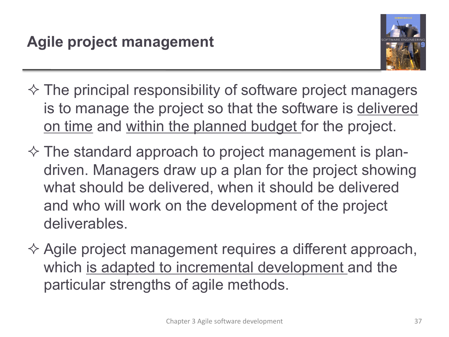

- $\Diamond$  The principal responsibility of software project managers is to manage the project so that the software is delivered on time and within the planned budget for the project.
- $\Diamond$  The standard approach to project management is plandriven. Managers draw up a plan for the project showing what should be delivered, when it should be delivered and who will work on the development of the project deliverables.
- $\Diamond$  Agile project management requires a different approach, which is adapted to incremental development and the particular strengths of agile methods.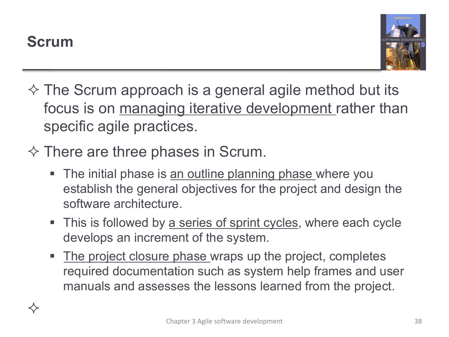$\Leftrightarrow$ 



- $\Diamond$  The Scrum approach is a general agile method but its focus is on managing iterative development rather than specific agile practices.
- $\diamond$  There are three phases in Scrum.
	- The initial phase is an outline planning phase where you establish the general objectives for the project and design the software architecture.
	- This is followed by a series of sprint cycles, where each cycle develops an increment of the system.
	- The project closure phase wraps up the project, completes required documentation such as system help frames and user manuals and assesses the lessons learned from the project.

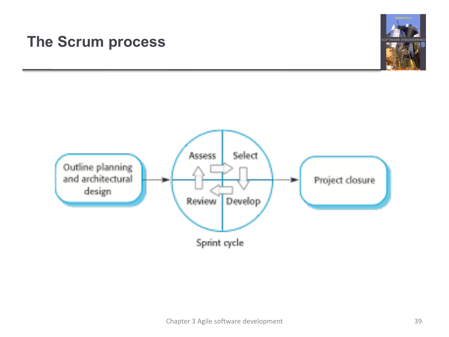### **The Scrum process**



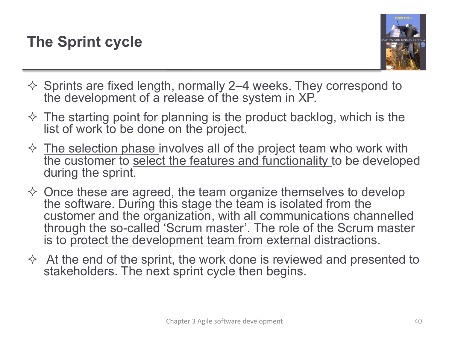

- $\Diamond$  Sprints are fixed length, normally 2–4 weeks. They correspond to the development of a release of the system in XP.
- $\Diamond$  The starting point for planning is the product backlog, which is the list of work to be done on the project.
- $\diamond$  The selection phase involves all of the project team who work with the customer to select the features and functionality to be developed during the sprint.
- $\diamond$  Once these are agreed, the team organize themselves to develop the software. During this stage the team is isolated from the customer and the organization, with all communications channelled through the so-called 'Scrum master'. The role of the Scrum master is to protect the development team from external distractions.
- $\Diamond$  At the end of the sprint, the work done is reviewed and presented to stakeholders. The next sprint cycle then begins.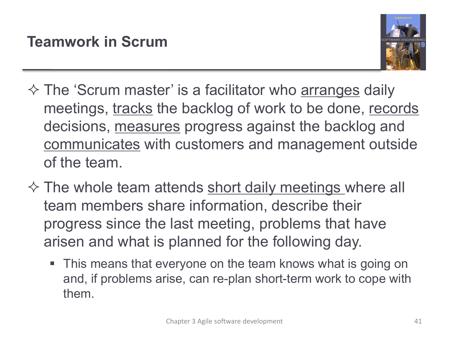

- $\Diamond$  The 'Scrum master' is a facilitator who arranges daily meetings, tracks the backlog of work to be done, records decisions, measures progress against the backlog and communicates with customers and management outside of the team.
- $\diamondsuit$  The whole team attends short daily meetings where all team members share information, describe their progress since the last meeting, problems that have arisen and what is planned for the following day.
	- This means that everyone on the team knows what is going on and, if problems arise, can re-plan short-term work to cope with them.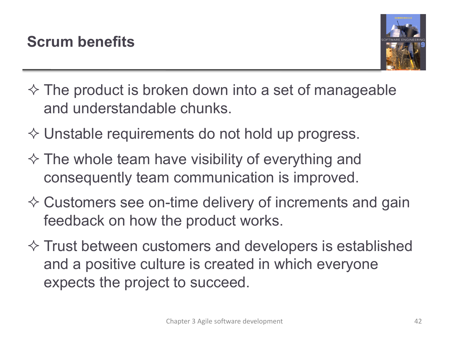

- $\Diamond$  The product is broken down into a set of manageable and understandable chunks.
- $\diamond$  Unstable requirements do not hold up progress.
- $\Diamond$  The whole team have visibility of everything and consequently team communication is improved.
- $\diamondsuit$  Customers see on-time delivery of increments and gain feedback on how the product works.
- $\diamondsuit$  Trust between customers and developers is established and a positive culture is created in which everyone expects the project to succeed.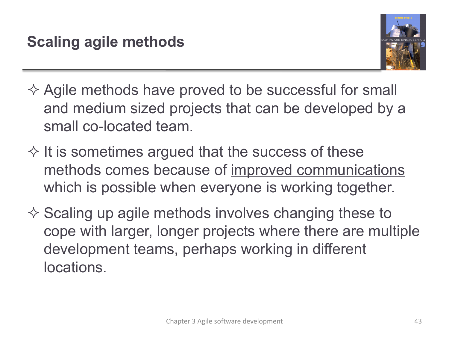

- $\Diamond$  Agile methods have proved to be successful for small and medium sized projects that can be developed by a small co-located team.
- $\Diamond$  It is sometimes argued that the success of these methods comes because of improved communications which is possible when everyone is working together.
- $\Diamond$  Scaling up agile methods involves changing these to cope with larger, longer projects where there are multiple development teams, perhaps working in different locations.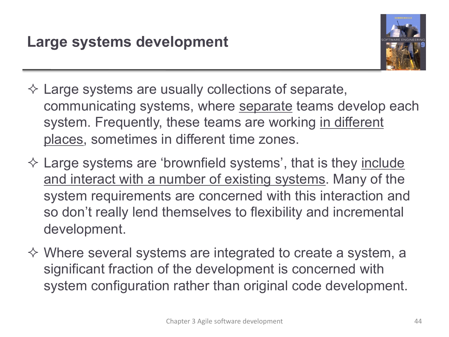

- $\diamondsuit$  Large systems are usually collections of separate, communicating systems, where separate teams develop each system. Frequently, these teams are working in different places, sometimes in different time zones.
- $\diamondsuit$  Large systems are 'brownfield systems', that is they include and interact with a number of existing systems. Many of the system requirements are concerned with this interaction and so don't really lend themselves to flexibility and incremental development.
- $\Diamond$  Where several systems are integrated to create a system, a significant fraction of the development is concerned with system configuration rather than original code development.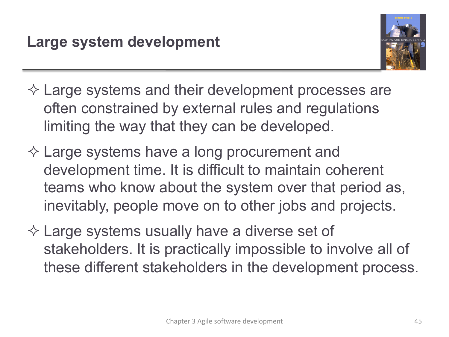

- $\diamondsuit$  Large systems and their development processes are often constrained by external rules and regulations limiting the way that they can be developed.
- $\diamondsuit$  Large systems have a long procurement and development time. It is difficult to maintain coherent teams who know about the system over that period as, inevitably, people move on to other jobs and projects.
- $\diamondsuit$  Large systems usually have a diverse set of stakeholders. It is practically impossible to involve all of these different stakeholders in the development process.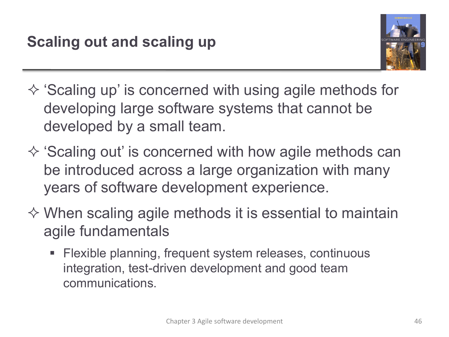

- $\Diamond$  'Scaling up' is concerned with using agile methods for developing large software systems that cannot be developed by a small team.
- $\Diamond$  'Scaling out' is concerned with how agile methods can be introduced across a large organization with many years of software development experience.
- $\Diamond$  When scaling agile methods it is essential to maintain agile fundamentals
	- Flexible planning, frequent system releases, continuous integration, test-driven development and good team communications.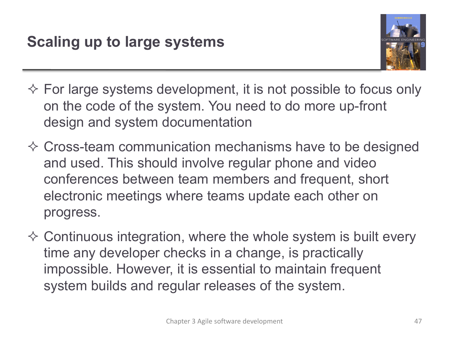

- $\diamond$  For large systems development, it is not possible to focus only on the code of the system. You need to do more up-front design and system documentation
- $\Diamond$  Cross-team communication mechanisms have to be designed and used. This should involve regular phone and video conferences between team members and frequent, short electronic meetings where teams update each other on progress.
- $\Diamond$  Continuous integration, where the whole system is built every time any developer checks in a change, is practically impossible. However, it is essential to maintain frequent system builds and regular releases of the system.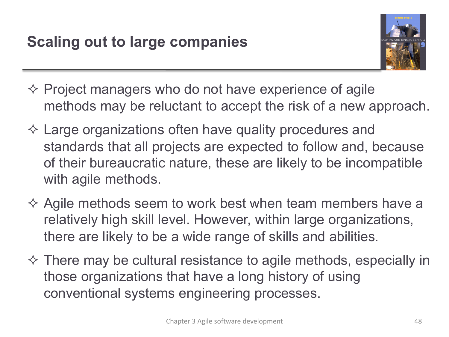

- $\Diamond$  Project managers who do not have experience of agile methods may be reluctant to accept the risk of a new approach.
- $\diamondsuit$  Large organizations often have quality procedures and standards that all projects are expected to follow and, because of their bureaucratic nature, these are likely to be incompatible with agile methods.
- $\Diamond$  Agile methods seem to work best when team members have a relatively high skill level. However, within large organizations, there are likely to be a wide range of skills and abilities.
- $\Diamond$  There may be cultural resistance to agile methods, especially in those organizations that have a long history of using conventional systems engineering processes.